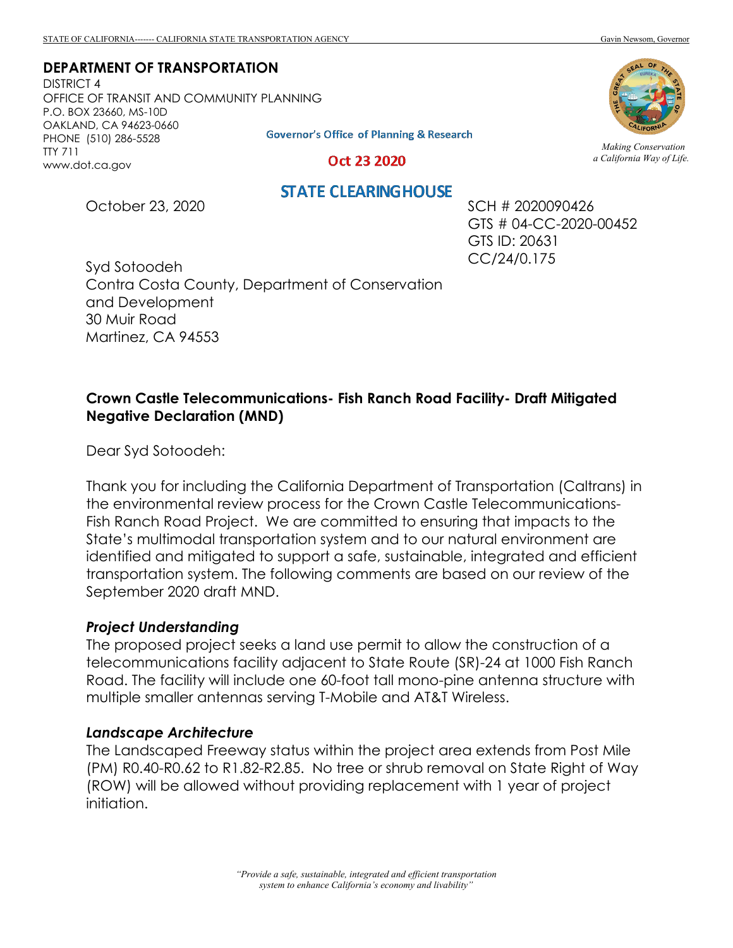### **DEPARTMENT OF TRANSPORTATION**

DISTRICT 4 OFFICE OF TRANSIT AND COMMUNITY PLANNING P.O. BOX 23660, MS-10D OAKLAND, CA 94623-0660 PHONE (510) 286-5528 TTY 711 www.dot.ca.gov



Oct 23 2020

# **STATE CLEARING HOUSE**

October 23, 2020

SCH # 2020090426 GTS # 04-CC-2020-00452 GTS ID: 20631 CC/24/0.175

Syd Sotoodeh Contra Costa County, Department of Conservation and Development 30 Muir Road Martinez, CA 94553

## **Crown Castle Telecommunications- Fish Ranch Road Facility- Draft Mitigated Negative Declaration (MND)**

Dear Syd Sotoodeh:

Thank you for including the California Department of Transportation (Caltrans) in the environmental review process for the Crown Castle Telecommunications-Fish Ranch Road Project. We are committed to ensuring that impacts to the State's multimodal transportation system and to our natural environment are identified and mitigated to support a safe, sustainable, integrated and efficient transportation system. The following comments are based on our review of the September 2020 draft MND.

#### *Project Understanding*

The proposed project seeks a land use permit to allow the construction of a telecommunications facility adjacent to State Route (SR)-24 at 1000 Fish Ranch Road. The facility will include one 60-foot tall mono-pine antenna structure with multiple smaller antennas serving T-Mobile and AT&T Wireless.

#### *Landscape Architecture*

The Landscaped Freeway status within the project area extends from Post Mile (PM) R0.40-R0.62 to R1.82-R2.85. No tree or shrub removal on State Right of Way (ROW) will be allowed without providing replacement with 1 year of project initiation.



*Making Conservation a California Way of Life.*